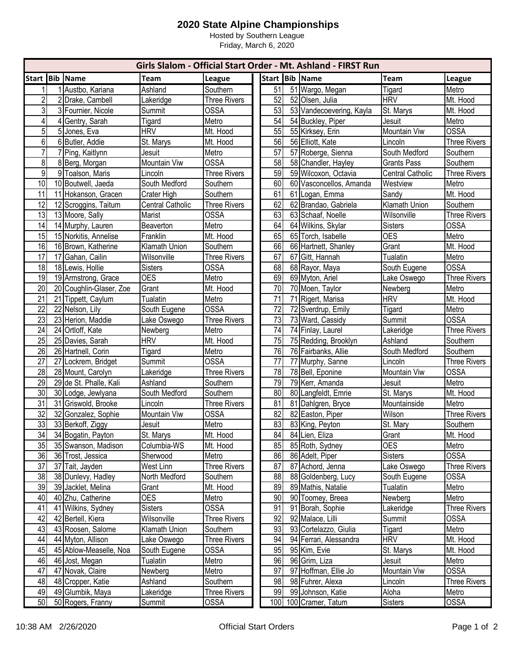## **2020 State Alpine Championships**

Hosted by Southern League Friday, March 6, 2020

| Girls Slalom - Official Start Order - Mt. Ashland - FIRST Run |    |                                         |                         |                     |  |          |  |                                   |                         |                      |
|---------------------------------------------------------------|----|-----------------------------------------|-------------------------|---------------------|--|----------|--|-----------------------------------|-------------------------|----------------------|
| Start Bib Name                                                |    |                                         | <b>Team</b>             | League              |  |          |  | Start Bib Name                    | <b>Team</b>             | League               |
|                                                               |    | Austbo, Kariana                         | Ashland                 | Southern            |  | 51       |  | 51 Wargo, Megan                   | Tigard                  | Metro                |
| 2                                                             |    | 2 Drake, Cambell                        | Lakeridge               | <b>Three Rivers</b> |  | 52       |  | 52 Olsen, Julia                   | <b>HRV</b>              | Mt. Hood             |
| 3                                                             |    | 3 Fournier, Nicole                      | Summit                  | <b>OSSA</b>         |  | 53       |  | 53 Vandecoevering, Kayla          | St. Marys               | Mt. Hood             |
| 4                                                             | 41 | Gentry, Sarah                           | Tigard                  | Metro               |  | 54       |  | 54 Buckley, Piper                 | Jesuit                  | Metro                |
| 5                                                             |    | 5 Jones, Eva                            | <b>HRV</b>              | Mt. Hood            |  | 55       |  | 55 Kirksey, Erin                  | Mountain Viw            | <b>OSSA</b>          |
| 6                                                             |    | 6 Butler, Addie                         | St. Marys               | Mt. Hood            |  | 56       |  | 56 Elliott, Kate                  | Lincoln                 | <b>Three Rivers</b>  |
| $\overline{7}$                                                |    | 7 Ping, Kaitlynn                        | Jesuit                  | Metro               |  | 57       |  | 57 Roberge, Sienna                | South Medford           | Southern             |
| 8                                                             |    | 8 Berg, Morgan                          | Mountain Viw            | <b>OSSA</b>         |  | 58       |  | 58 Chandler, Hayley               | <b>Grants Pass</b>      | Southern             |
| $\overline{9}$                                                |    | 9 Toalson, Maris                        | Lincoln                 | <b>Three Rivers</b> |  | 59       |  | 59 Wilcoxon, Octavia              | <b>Central Catholic</b> | <b>Three Rivers</b>  |
| 10                                                            |    | 10 Boutwell, Jaeda                      | South Medford           | Southern            |  | 60       |  | 60 Vasconcellos, Amanda           | Westview                | Metro                |
| 11                                                            |    | 11 Hokanson, Gracen                     | Crater High             | Southern            |  | 61       |  | 61 Logan, Emma                    | Sandy                   | Mt. Hood             |
| 12                                                            |    | 12 Scroggins, Taitum                    | <b>Central Catholic</b> | <b>Three Rivers</b> |  | 62       |  | 62 Brandao, Gabriela              | Klamath Union           | Southern             |
| 13                                                            |    | 13 Moore, Sally                         | Marist                  | <b>OSSA</b>         |  | 63       |  | 63 Schaaf, Noelle                 | Wilsonville             | <b>Three Rivers</b>  |
| 14                                                            |    | 14 Murphy, Lauren                       | Beaverton               | Metro               |  | 64       |  | 64 Wilkins, Skylar                | Sisters                 | <b>OSSA</b>          |
| 15                                                            |    | 15 Norkitis, Annelise                   | Franklin                | Mt. Hood            |  | 65       |  | 65 Torch, Isabelle                | <b>OES</b>              | Metro                |
| 16                                                            |    | 16 Brown, Katherine                     | Klamath Union           | Southern            |  | 66       |  | 66 Hartnett, Shanley              | Grant                   | Mt. Hood             |
| 17                                                            |    | 17 Gahan, Cailin                        | Wilsonville             | <b>Three Rivers</b> |  | 67       |  | 67 Gitt, Hannah                   | <b>Tualatin</b>         | Metro                |
| 18                                                            |    | 18 Lewis, Hollie                        | <b>Sisters</b>          | <b>OSSA</b>         |  | 68       |  | 68 Rayor, Maya                    | South Eugene            | <b>OSSA</b>          |
| 19                                                            |    | 19 Armstrong, Grace                     | <b>OES</b>              | Metro               |  | 69       |  | 69 Myton, Ariel                   | Lake Oswego             | <b>Three Rivers</b>  |
| 20                                                            |    | 20 Coughlin-Glaser, Zoe                 | Grant                   | Mt. Hood            |  | 70       |  | 70 Moen, Taylor                   | Newberg                 | Metro                |
| 21                                                            |    | 21 Tippett, Caylum                      | <b>Tualatin</b>         | Metro               |  | 71       |  | 71 Rigert, Marisa                 | <b>HRV</b>              | Mt. Hood             |
| 22                                                            |    | 22 Nelson, Lily                         | South Eugene            | <b>OSSA</b>         |  | 72       |  | 72 Sverdrup, Emily                | Tigard                  | Metro                |
| 23                                                            |    | 23 Herion, Maddie                       | Lake Oswego             | <b>Three Rivers</b> |  | 73       |  | 73 Ward, Cassidy                  | Summit                  | <b>OSSA</b>          |
| 24                                                            |    | 24 Ortloff, Kate                        | Newberg                 | Metro               |  | 74       |  | 74 Finlay, Laurel                 | Lakeridge               | <b>Three Rivers</b>  |
| 25                                                            |    | 25 Davies, Sarah                        | <b>HRV</b>              | Mt. Hood            |  | 75       |  | 75 Redding, Brooklyn              | Ashland                 | Southern             |
| 26                                                            |    | 26 Hartnell, Corin                      | Tigard                  | Metro               |  | 76       |  | 76 Fairbanks, Allie               | South Medford           | Southern             |
| $\overline{27}$                                               | 27 | Lockrem, Bridget                        | Summit                  | <b>OSSA</b>         |  | 77       |  | 77 Murphy, Sanne                  | Lincoln                 | <b>Three Rivers</b>  |
| 28                                                            |    | 28 Mount, Carolyn                       | Lakeridge               | <b>Three Rivers</b> |  | 78       |  | 78 Bell, Eponine                  | Mountain Viw            | <b>OSSA</b>          |
| 29                                                            |    | 29 de St. Phalle, Kali                  | Ashland                 | Southern            |  | 79       |  | 79 Kerr, Amanda                   | Jesuit                  | Metro                |
| 30                                                            |    | 30 Lodge, Jewlyana                      | South Medford           | Southern            |  | 80       |  | 80 Langfeldt, Emrie               | St. Marys               | Mt. Hood             |
| 31<br>$\overline{32}$                                         |    | 31 Griswold, Brooke                     | Lincoln                 | <b>Three Rivers</b> |  | 81       |  | 81 Dahlgren, Bryce                | Mountainside            | Metro                |
| 33                                                            |    | 32 Gonzalez, Sophie                     | Mountain Viw            | <b>OSSA</b>         |  | 82       |  | 82 Easton, Piper                  | Wilson                  | <b>Three Rivers</b>  |
| 34                                                            |    | 33 Berkoff, Ziggy<br>34 Bogatin, Payton | Jesuit<br>St. Marys     | Metro<br>Mt. Hood   |  | 83<br>84 |  | 83 King, Peyton<br>84 Lien, Eliza | St. Mary<br>Grant       | Southern<br>Mt. Hood |
| 35                                                            |    | 35 Swanson, Madison                     | Columbia-WS             | Mt. Hood            |  | 85       |  | 85 Roth, Sydney                   | <b>OES</b>              | Metro                |
| 36                                                            |    | 36 Trost, Jessica                       | Sherwood                | Metro               |  | 86       |  | 86 Adelt, Piper                   | <b>Sisters</b>          | <b>OSSA</b>          |
| 37                                                            |    | 37 Tait, Jayden                         | West Linn               | <b>Three Rivers</b> |  | 87       |  | 87 Achord, Jenna                  | Lake Oswego             | <b>Three Rivers</b>  |
| 38                                                            |    | 38 Dunlevy, Hadley                      | North Medford           | Southern            |  | 88       |  | 88 Goldenberg, Lucy               | South Eugene            | <b>OSSA</b>          |
| 39                                                            |    | 39 Jacklet, Melina                      | Grant                   | Mt. Hood            |  | 89       |  | 89 Mathis, Natalie                | Tualatin                | Metro                |
| 40                                                            |    | 40 Zhu, Catherine                       | <b>OES</b>              | Metro               |  | 90       |  | 90 Toomey, Breea                  | Newberg                 | Metro                |
| 41                                                            |    | 41 Wilkins, Sydney                      | <b>Sisters</b>          | <b>OSSA</b>         |  | 91       |  | 91 Borah, Sophie                  | Lakeridge               | <b>Three Rivers</b>  |
| 42                                                            |    | 42 Bertell, Kiera                       | Wilsonville             | <b>Three Rivers</b> |  | 92       |  | 92 Malace, Lilli                  | Summit                  | <b>OSSA</b>          |
| 43                                                            |    | 43 Roosen, Salome                       | Klamath Union           | Southern            |  | 93       |  | 93 Cortelazzo, Giulia             | <b>Tigard</b>           | Metro                |
| 44                                                            |    | 44 Myton, Allison                       | Lake Oswego             | <b>Three Rivers</b> |  | 94       |  | 94 Ferrari, Alessandra            | <b>HRV</b>              | Mt. Hood             |
| 45                                                            |    | 45 Ablow-Measelle, Noa                  | South Eugene            | <b>OSSA</b>         |  | 95       |  | 95 Kim, Evie                      | St. Marys               | Mt. Hood             |
| 46                                                            |    | 46 Jost, Megan                          | <b>Tualatin</b>         | Metro               |  | 96       |  | 96 Grim, Liza                     | Jesuit                  | Metro                |
| 47                                                            |    | 47 Novak, Claire                        | Newberg                 | Metro               |  | 97       |  | 97 Hoffman, Ellie Jo              | Mountain Viw            | <b>OSSA</b>          |
| 48                                                            |    | 48 Cropper, Katie                       | Ashland                 | Southern            |  | 98       |  | 98 Fuhrer, Alexa                  | Lincoln                 | <b>Three Rivers</b>  |
| 49                                                            |    | 49 Glumbik, Maya                        | Lakeridge               | <b>Three Rivers</b> |  | 99       |  | 99 Johnson, Katie                 | Aloha                   | Metro                |
| 50                                                            |    | 50 Rogers, Franny                       | <b>Summit</b>           | <b>OSSA</b>         |  |          |  | 100 100 Cramer, Tatum             | <b>Sisters</b>          | <b>OSSA</b>          |